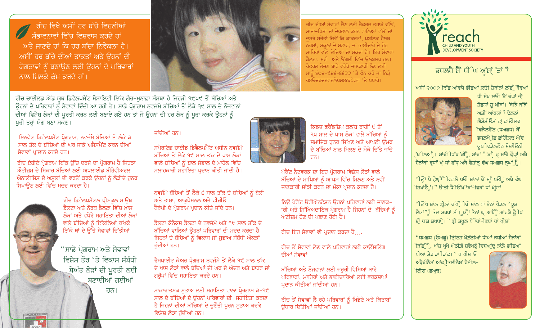ਰੀਚ ਵਿਖੇ ਅਸੀਂ ਹਰ ਬੱਚੇ ਵਿਚਲੀਆਂ - ਸੰਭਾਵਨਾਵਾਂ ਵਿੱਚ ਵਿਸ਼ਵਾਸ ਕਰਦੇ ਹਾਂ ਅਤੇ ਜਾਣਦੇ ਹਾਂ ਕਿ ਹਰ ਬੱਚਾ ਨਿਵੇਕਲਾ ਹੈ। ਅਸੀਂ ਹਰ ਬੱਚੇ ਦੀਆਂ ਤਾਕਤਾਂ ਅਤੇ ਉਹਨਾਂ ਦੀ ਯੋਗਤਾਵਾਂ ਨੂੰ ਬਣਾਉਣ ਲਈ ਉਹਨਾਂ ਦੇ ਪਰਿਵਾਰਾਂ ਨਾਲ ਮਿਲਕੇ ਕੰਮ ਕਰਦੇ ਹਾਂ।



ਰੀਚ ਦੀਆਂ ਸੇਵਾਵਾਂ ਲੈਣ ਲਈ ਰੈਫਰਲ ਤਹਾਡੇ ਵੱਲੋਂ, ਮਾਤਾ-ਪਿਤਾ ਜਾਂ ਦੇਖਭਾਲ ਕਰਨ ਵਾਲਿਆਂ ਵੱਲੋਂ ਜਾਂ ਦਸਰੇ ਸਰੋਤਾਂ ਜਿਵੇਂ ਕਿ ਡਾਕਰਟਾਂ, ਪਬਲਿਕ ਹੈਲਥ ਨਰਸਾਂ, ਸਕੂਲਾਂ ਦੇ ਸਟਾਫ਼, ਜਾਂ ਭਾਈਚਾਰੇ ਦੇ ਹੋਰ ਮਾਹਿਰਾਂ ਵੱਲੋਂ ਭੇਜਿਆ ਜਾ ਸਕਦਾ ਹੈ। ਇਹ ਸੇਵਾਵਾਂ ਡੈਲਟਾ, ਸਰੀ ਅਤੇ ਲੈਂਗਲੀ ਵਿੱਚ ਉਲਬਲਧ ਹਨ। <u>ਰੈਫਰਲ ਭੇਜਣ ਬਾਰੇ ਵਧੇਰੇ ਜਾਣਕਾਰੀ ਲੈਣ ਲਈ</u> ਸਾਨੰ ੬੦੪-੯੪੬-੬੬੨੨ 'ਤੇ ਫੋਨ ਕਰੋ ਜਾਂ ਨਿਡੋ ਰੲਊਜ਼ਹਦੲਵੲਲੋਪਮੲਨਟੋ ਰਗ ' ਤੇ ਪਧਾਰੋ।



# ਭਧਲ਼ਪੈ ਸ਼ੈਂ ਧੀ ੰਘ ਅੁ<mark>ਂਸ਼ਾ</mark>ਂ ਤਾਂ <sup>ਜ</sup>

ਅਸ਼ੀਂ ੨੦੦੭ੀੜੱਛ ਆਂਫਯੈ ਭੀਛਆਂ ਲਓੀ ਸ਼ੈੜਾਂੜਾਂ ਲੱਭ ੌੂੀਫਆਂ



ਧੀ ਸ਼ੌਖ ਲਓੀ ਤੇ ਢੰਘਾਂ ਭਾਂ ਸ਼ੌਛਯਾਂ ਸ਼ੂ ਖੀਥਾਂ। ਥੀਝੈ ੜੱਝੋਂ ਅਸ਼ੀਂ ਆਂਫਯਾਂ "ੈ ਢੈਲਨਾਂ ਐਸ਼ੋਸ਼ੀਓੇਸ਼ਾਂ ਫਾਂ ਛਾਂਓੀ.ਲਢ ੀਢੜੈਲਫੈਂਠ (ਧਅਛਧ) ਥੌਂ ਭਧਲਖੈ]ਛ ਛਾਂਓੀਲਢ ਐਂਢ ਯੁਥ ਵਿੜੈਲਫੈਂਠ ਸ਼ੌਸ਼ਾੀਓਠੀ

ੁੱਖ ੀਲਆੰ । ਸ਼ਾਂਢੀ ਧਿੱਖ ਤੀ ੈ, ਸ਼ਾਂਢਾਂ <sup>ਜ</sup> ਤਾ ੈ ਫ਼ ਸ਼ਾਂਢੇ ਫ੍ਰੋਘਾੰ ਅਥੈ ਸ਼ੈੜਾਂੜਾਂ ਫੂਧਾਂ ਖੂੰ ਧਾਂ ਫੱਧੂ ਅਥੈ ਫੈਸ਼ਾਂੜ੍ਹ ਢੰਘ ਧਅਛਧ ੜੂਘਾਂ ਿ।

<u>''ੀਓਂ<sup></sup>ਾਂ ਧੈ ਫ੍ਰੌਘ੍ਰਾੰ<sup>ਨ</sup> ਰਿਛਲੈ ਖਓੀ ਸ਼ਾਂਲਾਂ ਥੋਂ ਸ਼ਾੂੰ ਖਓੀ ; ਅਥੈ ਢੰਘ</u> ੀਸ਼ਖਾਂਓੋਂ:। " ਓੀਭੀ ਧੈ ਦਿੱਖ<sup>ਾਂ</sup>ਥਾਂ-ੀਫਥਾਂ ਧਾਂ ਖੀਯਾਂ

''ਚਿੱਖ ਸ਼ਾਂਲ ਫੀਲਾਂ ਥੱਖੋਂ ਜਿੰ ਸ਼ਾਂਲ ਧਾਂ ਭੈਠਾਂ ਖੇੜਲ ''ਝਸ਼ ਲੈਯਾਂ"ੀ ਭੌਲ ਸ਼ਖਧਾਂ ਸ਼ੀ। ਯੰ੍ਰੈਂ ਭੈਠਾਂ ਘ੍ਰ ਆਂਖੇੰੌੁਂ ਆਂਫਯੈ ਫ੍ਰੈ ਧਿ ਭੀਂ ਧੱਸ਼ ਸ਼ਖਧਾ, । " ਫ੍ਰੀ ਸ਼ਖ਼ਲ ਧੈ 'ਥਾਂ-ੀਫਥਾਂ ਧਾਂ ਖੀਯਾਂ

"ਧਅਛਧ (ਓਅਛੂ) ਭ੍ਰਿਤਿਸ਼ ਖੌਲੰਭੀਆਂ ਧੀਆਂ ੜਧੀਆਂ ਸ਼ੈੜਾਂੜਾਂ ੀੜੱਛੂੰੋਿ, ਖਾਂਸ਼ ਖੂਖੈ ਔਠੀਗ਼ੰ ਸ਼ਫੈਖਨੂੰ ਦਿਸ਼ਆਂਢ ੜਾਂਲ਼ੈ ਭੀਛਆਂ

ਧੀਆਂ ਸੈਤਾਂਤਾਂ ਤਿੱਛ। " ਧ ਖੀਸ਼<mark>ਂ</mark> ਓਂ ਅਖ੍ਰੈਢੀਠੈਸ਼ ਆਂਫ਼੍ਰ਼ੀਤਲੀਠੈਸ਼ ਫੈਸ਼ੀਲ਼-ਰਿਗ਼ (ਛਅ੍ਰਢ)



ਰੀਚ ਚਾਈਲਡ ਐਂਡ ਯਥ ਡਿਵੈਲਪਮੈਂਟ ਸੋਸਾਇਟੀ ਇੱਕ ਗੈਰ-ਮੁਨਾਫ਼ਾ ਸੰਸਥਾ ਹੈ ਜਿਹੜੀ ੧੯੫੯ ਤੋਂ ਬੱਚਿਆਂ ਅਤੇ ਉਹਨਾਂ ਦੇ ਪਰਿਵਾਰਾਂ ਨੂੰ ਸੇਵਾਵਾਂ ਦਿੰਦੀ ਆ ਰਹੀ ਹੈ। ਸਾਡੇ ਪ੍ਰੋਗਰਾਮ ਨਵਜੰਮੇ ਬੱਚਿਆਂ ਤੋਂ ਲੈਕੇ ੧੯ ਸਾਲ ਦੇ ਨੌਜਵਾਨਾਂ ਦੀਆਂ ਵਿਸ਼ੇਸ਼ ਲੋੜਾਂ ਦੀ ਪੁਰਤੀ ਕਰਨ ਲਈ ਬਣਾਏ ਗਏ ਹਨ ਤਾਂ ਜੋ ਉਹਨਾਂ ਦੀ ਹਰ ਲੋੜ ਨੂੰ ਪੂਰਾ ਕਰਕੇ ਉਹਨਾਂ ਨੂੰ ਪੂਰੀ ਤਰ੍ਹਾਂ ਯੋਗ ਬਣਾ ਸਕਣ।

ਇਨਫੈਂਟ ਡਿਵੈਲਪਮੈਂਟ ਪ੍ਰੋਗਰਾਮ, ਨਵਜੰਮੇ ਬੱਚਿਆਂ ਤੋਂ ਲੈਕੇ ੩ ਸਾਲ ਤੱਕ ਦੇ ਬੱਚਿਆਂ ਦੀ ਘਰ ਜਾਕੇ ਅਸੈਸਮੈਂਟ ਕਰਨ ਦੀਆਂ ਸੇਵਾਵਾਂ ਪਾਦਾਨ ਕਰਦੇ ਹਨ।

ਰੀਚ ਏਬੀਏ ਪ੍ਰੋਗਰਾਮ ਇੱਕ ਉੱਚ ਦਰਜੇ ਦਾ ਪ੍ਰੋਗਰਾਮ ਹੈ ਜਿਹੜਾ ਔਟੀਜ਼ਮ ਦੇ ਸ਼ਿਕਾਰ ਬੱਚਿਆਂ ਲਈ ਅਪਲਾਈਡ ਬੀਹੇਵੀਅਰਲ ਐਨਾਲੀਸਿਸ ਦੇ ਅਸੂਲਾਂ ਦੀ ਵਰਤੋਂ ਕਰਕੇ ਉਹਨਾਂ ਨੂੰ ਲੋੜੀਦੇ ਹਨਰ ਸਿਖਾੳਣ ਲਈ ਵਿੱਚ ਮਦਦ ਕਰਦਾ ਹੈ।



ਰੀਚ ਡਿਵੈਲਪਮੈਂਟਲ ਪੀਸਕਲ ਸਾੳਥ ਡੈਲਟਾ ਅਤੇ ਨੌਰਥ ਡੈਲਟਾ ਵਿੱਚ ਖ਼ਾਸ ਲੋੜਾਂ ਅਤੇ ਵਧੇਰੇ ਸਹਾਇਤਾ ਦੀਆਂ ਲੋੜਾਂ ਵਾਲੇ ਬੱਚਿਆਂ ਨੰ ਇੱਕਠਿਆਂ ਰੱਖਕੇ ਇੱਕੋ ਥਾਂ ਦੇ ਉੱਤੇ ਸੇਵਾਵਾਂ ਦਿੱਤੀਆਂ

"ਸਾਡੇ ਪ੍ਰੋਗਰਾਮ ਅਤੇ ਸੇਵਾਵਾਂ ਵਿਸ਼ੇਸ਼ ਤੌਰ 'ਤੇ ਵਿਕਾਸ ਸੰਬੰਧੀ ਬੇਅੰਤ ਲੋੜਾਂ ਦੀ ਪੂਰਤੀ ਲਈ ਬਣਾਈਆਂ ਗਈਆਂ <u>ਹਨ।</u>

# ਜਾਂਦੀਆਂ ਹਨ।

ਸਪੋਰਟਿਡ ਚਾਈਡ ਡਿਵੈਲਪਮੈਂਟ ਅਧੀਨ ਨਵਜੰਮੇ ਬੱਜਿਆਂ ਤੋਂ ਲੇਕੇ ੧੯ ਸਾਲ ਤੱਕ ਦੇ ਖਾਸ ਲੋੜਾਂ ਵਾਲੇ ਬੱਚਿਆਂ ਨੂੰ ਬਾਲ ਸੰਭਾਲ ਦੇ ਮਾਹੌਲ ਵਿੱਚ ਸਲਾਹਕਾਰੀ ਸਹਾਇਤਾ ਪ੍ਰਦਾਨ ਕੀਤੀ ਜਾਂਦੀ ਹੈ।

ਨਵਜੰਮੇ ਬੱਚਿਆਂ ਤੋਂ ਲੈਕੇ ੬ ਸਾਲ ਤੱਕ ਦੇ ਬੱਚਿਆਂ ਨੂੰ ਬੋਲੀ ਅਤੇ ਭਾਸ਼ਾ, ਆਕਪੇਸ਼ਨਲ ਅਤੇ ਫੀਜ਼ੀਓ ਥੈਰੇਪੀ ਦੇ ਪ੍ਰੋਗਰਾਮ ਪ੍ਰਦਾਨ ਕੀਤੇ ਜਾਂਦੇ ਹਨ।

ੜੈਲਟਾ ਕੋਨੈਕਸ ੜੈਲਟਾ ਦੇ ਨਵਜੰਮੇ ਅਤੇ ੧੯ ਸਾਲ ਤੱਕ ਦੇ ਬੱਚਿਆਂ ਵਾਲਿਆਂ ਉਹਨਾਂ ਪਰਿਵਾਰਾਂ ਦੀ ਮਦਦ ਕਰਦਾ ਹੈ ਜਿਹਨਾਂ ਦੇ ਬੱਚਿਆਂ ਨੂੰ ਵਿਕਾਸ ਜਾਂ ਸੁਭਾਅ ਸੰਬੰਧੀ ਔਕੜਾਂ ਹੰਦੀਆਂ ਹਨ।

ਰੈਸਪਾਈਟ ਕੇਅਰ ਪ੍ਰੋਗਰਾਮ ਨਵਜੰਮੇ ਤੋਂ ਲੈਕੇ ੧੯ ਸਾਲ ਤੱਕ ਦੇ ਖਾਸ ਲੋੜਾਂ ਵਾਲੇ ਬੱਚਿਆਂ ਦੀ ਘਰ ਦੇ ਅੰਦਰ ਅਤੇ ਬਾਹਰ ਜਾਂ ਗਰੱਪਾਂ ਵਿੱਚ ਸਹਾਇਤਾ ਕਰਦੇ ਹਨ।

ਸਾਕਾਰਾਤਮਕ ਸਭਾਅ ਲਈ ਸਹਾਇਤਾ ਵਾਲਾ ਪੋਰਗਾਮ ੩-੧੯ ਸਾਲ ਦੇ ਬੱਚਿਆਂ ਦੇ ਉਹਨਾਂ ਪਰਿਵਾਰਾਂ ਦੀ ਸਹਾਇਤਾ ਕਰਦਾ ਹੈ ਜਿਹਨਾਂ ਦੀਆਂ ਬੱਚਿਆਂ ਦੇ ਚੁਣੌਤੀ ਪੂਰਨ ਸੁਭਾਅ ਕਰਕੇ ਵਿਸ਼ੇਸ਼ ਲੋੜਾ ਹੰਦੀਆਂ ਹਨ।



ਕਿਡਜ਼ ਫਰੈਂਡਸ਼ਿਪ ਕਲੱਬ ਰਾਹੀਂ ੯ ਤੋਂ ੧੫ ਸਾਲ ਦੇ ਖਾਸ ਲੋੜਾਂ ਵਾਲੇ ਬੱਚਿਆਂ ਨੂੰ ਸਮਾਜਿਕ ਹਨਰ ਸਿੱਖਣ ਅਤੇ ਆਪਣੀ ਉਮਰ ਦੇ ਬੱਚਿਆਂ ਨਾਲ ਮਿਲਣ ਦੇ ਮੌਕੇ ਦਿੱਤੇ ਜਾਂਦੇ ਰਨ।

ਪੇਰੈਂਟ ਨੈਟਵਰਕ ਦਾ ਇਹ ਪ੍ਰੋਗਰਾਮ ਵਿਸ਼ੇਸ਼ ਲੋੜਾਂ ਵਾਲੇ ਬੱਚਿਆਂ ਦੇ ਮਾਪਿਆਂ ਨੂੰ ਆਪਸ ਵਿੱਚ ਮਿਲਣ ਅਤੇ ਨਵੀਂ ਜਾਣਕਾਰੀ ਸਾਂਝੀ ਕਰਨ ਦਾ ਮੌਕਾ ਪੁਦਾਨ ਕਰਦਾ ਹੈ।

ਨਿਊ ਪੇਰੈਂਟ ਓਰੀਐਨਟੇਸ਼ਨ ਉਹਨਾਂ ਪਰਿਵਾਰਾਂ ਲਈ ਜਾਣਕ-ਾਰੀ ਅਤੇ ਸਿੱਖਿਅਦਾਇਕ ਪ੍ਰੋਗਰਾਮ ਹੈ ਜਿਹਨਾਂ ਦੇ ਬੱਚਿਆਂ ਨੂੰ ਔਟੀਜ਼ਮ ਹੋਣ ਦੀ ਪਛਾਣ ਹੋਈ ਹੈ।

<u>ਰੀਚ ਇਹ ਸੇਵਾਵਾਂ ਵੀ ਪ੍ਰਦਾਨ ਕਰਦਾ ਹੈ…</u>

ਰੀਚ ਤੋਂ ਸੇਵਾਵਾਂ ਲੈਣ ਵਾਲੇ ਪਰਿਵਾਰਾਂ ਲਈ ਕਾੳਂਸਲਿੰਗ ਦੀਆਂ ਸੇਵਾਵਾਂ

ਬੱਚਿਆਂ ਅਤੇ ਨੌਜਵਾਨਾਂ ਲਈ ਜ਼ਰੂਰੀ ਵਿਸ਼ਿਆਂ ਬਾਰੇ ਪਰਿਵਾਰਾਂ. ਮਾਹਿਰਾਂ ਅਤੇ ਭਾਈਚਾਰਿਆਂ ਲਈ ਵਰਕਸ਼ਾਪਾਂ ਪਦਾਨ ਕੀਤੀਆਂ ਜਾਂਦੀਆਂ ਹਨ।

ਰੀਚ ਤੋਂ ਸੇਵਾਵਾਂ ਲੈ ਰਹੇ ਪਰਿਵਾਰਾਂ ਨੰ ਖਿਡੌਣੇ ਅਤੇ ਕਿਤਾਬਾਂ ਉਧਾਰ ਦਿੱਤੀਆਂ ਜਾਂਦੀਆਂ ਹਨ।